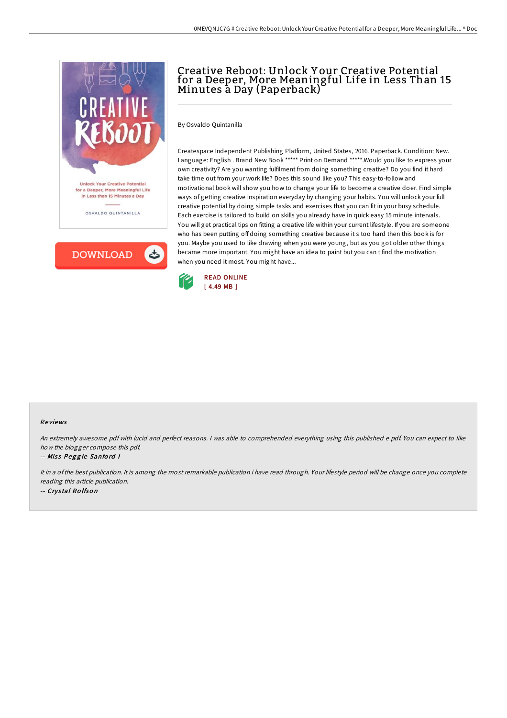

**DOWNLOAD** ٹ

# Creative Reboot: Unlock Y our Creative Potential for a Deeper, More Meaningful Life in Less Than 15 Minutes a Day (Paperback)

By Osvaldo Quintanilla

Createspace Independent Publishing Platform, United States, 2016. Paperback. Condition: New. Language: English . Brand New Book \*\*\*\*\* Print on Demand \*\*\*\*\*. Would you like to express your own creativity? Are you wanting fulfilment from doing something creative? Do you find it hard take time out from your work life? Does this sound like you? This easy-to-follow and motivational book will show you how to change your life to become a creative doer. Find simple ways of getting creative inspiration everyday by changing your habits. You will unlock your full creative potential by doing simple tasks and exercises that you can fit in your busy schedule. Each exercise is tailored to build on skills you already have in quick easy 15 minute intervals. You will get practical tips on fitting a creative life within your current lifestyle. If you are someone who has been putting off doing something creative because it s too hard then this book is for you. Maybe you used to like drawing when you were young, but as you got older other things became more important. You might have an idea to paint but you can t find the motivation when you need it most. You might have...



#### Re views

An extremely awesome pdf with lucid and perfect reasons. <sup>I</sup> was able to comprehended everything using this published <sup>e</sup> pdf. You can expect to like how the blogger compose this pdf.

### -- Miss Peggie Sanford I

It in <sup>a</sup> ofthe best publication. It is among the most remarkable publication i have read through. Your lifestyle period will be change once you complete reading this article publication. -- Crys tal Ro lfso <sup>n</sup>